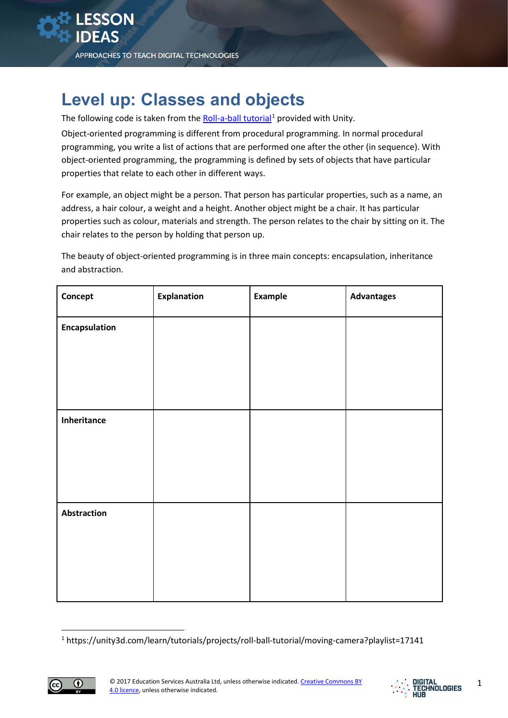## **Level up: Classes and objects**

The following code is taken from the [Roll-a-ball tutorial](https://unity3d.com/learn/tutorials/projects/roll-ball-tutorial/moving-camera?playlist=17141)<sup>[1](#page-0-0)</sup> provided with Unity.

Object-oriented programming is different from procedural programming. In normal procedural programming, you write a list of actions that are performed one after the other (in sequence). With object-oriented programming, the programming is defined by sets of objects that have particular properties that relate to each other in different ways.

For example, an object might be a person. That person has particular properties, such as a name, an address, a hair colour, a weight and a height. Another object might be a chair. It has particular properties such as colour, materials and strength. The person relates to the chair by sitting on it. The chair relates to the person by holding that person up.

The beauty of object-oriented programming is in three main concepts: encapsulation, inheritance and abstraction.

| Concept            | <b>Explanation</b> | <b>Example</b> | <b>Advantages</b> |
|--------------------|--------------------|----------------|-------------------|
| Encapsulation      |                    |                |                   |
|                    |                    |                |                   |
|                    |                    |                |                   |
|                    |                    |                |                   |
| Inheritance        |                    |                |                   |
|                    |                    |                |                   |
|                    |                    |                |                   |
|                    |                    |                |                   |
| <b>Abstraction</b> |                    |                |                   |
|                    |                    |                |                   |
|                    |                    |                |                   |
|                    |                    |                |                   |
|                    |                    |                |                   |

<sup>1</sup> https://unity3d.com/learn/tutorials/projects/roll-ball-tutorial/moving-camera?playlist=17141

<span id="page-0-0"></span>

**.**